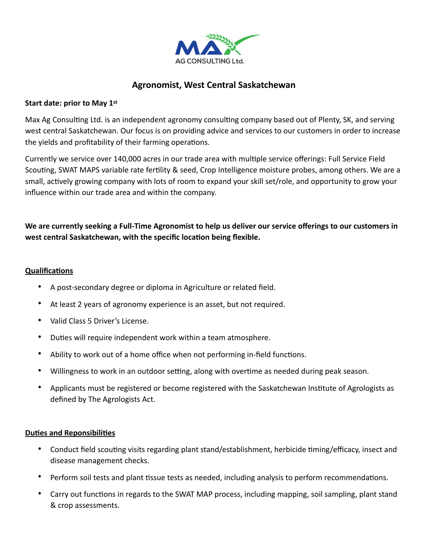

# **Agronomist, West Central Saskatchewan**

### **Start date: prior to May 1st**

Max Ag Consulting Ltd. is an independent agronomy consulting company based out of Plenty, SK, and serving west central Saskatchewan. Our focus is on providing advice and services to our customers in order to increase the yields and profitability of their farming operations.

Currently we service over 140,000 acres in our trade area with multiple service offerings: Full Service Field Scouting, SWAT MAPS variable rate fertility & seed, Crop Intelligence moisture probes, among others. We are a small, actively growing company with lots of room to expand your skill set/role, and opportunity to grow your influence within our trade area and within the company.

## **We are currently seeking a Full-Time Agronomist to help us deliver our service offerings to our customers in west central Saskatchewan, with the specific location being flexible.**

### **Qualifications**

- A post-secondary degree or diploma in Agriculture or related field.
- At least 2 years of agronomy experience is an asset, but not required.
- Valid Class 5 Driver's License.
- Duties will require independent work within a team atmosphere.
- Ability to work out of a home office when not performing in-field functions.
- Willingness to work in an outdoor setting, along with overtime as needed during peak season.
- Applicants must be registered or become registered with the Saskatchewan Institute of Agrologists as defined by The Agrologists Act.

### **Duties and Reponsibilities**

- Conduct field scouting visits regarding plant stand/establishment, herbicide timing/efficacy, insect and disease management checks.
- Perform soil tests and plant tissue tests as needed, including analysis to perform recommendations.
- Carry out functions in regards to the SWAT MAP process, including mapping, soil sampling, plant stand & crop assessments.